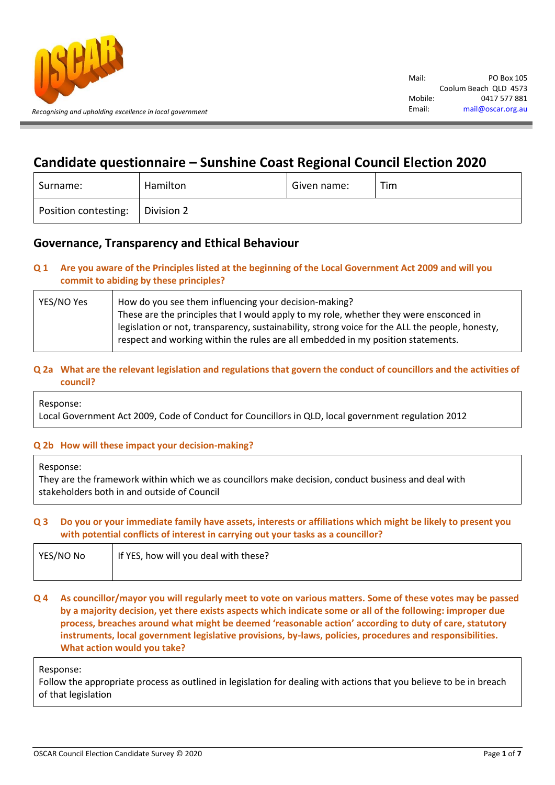

# **Candidate questionnaire – Sunshine Coast Regional Council Election 2020**

| Surname:             | Hamilton   | Given name: | Tim |
|----------------------|------------|-------------|-----|
| Position contesting: | Division 2 |             |     |

## **Governance, Transparency and Ethical Behaviour**

### **Q 1 Are you aware of the Principles listed at the beginning of the Local Government Act 2009 and will you commit to abiding by these principles?**

| YES/NO Yes | How do you see them influencing your decision-making?                                           |  |
|------------|-------------------------------------------------------------------------------------------------|--|
|            | These are the principles that I would apply to my role, whether they were ensconced in          |  |
|            | legislation or not, transparency, sustainability, strong voice for the ALL the people, honesty, |  |
|            | respect and working within the rules are all embedded in my position statements.                |  |
|            |                                                                                                 |  |

### **Q 2a What are the relevant legislation and regulations that govern the conduct of councillors and the activities of council?**

Response:

Local Government Act 2009, Code of Conduct for Councillors in QLD, local government regulation 2012

#### **Q 2b How will these impact your decision-making?**

Response:

They are the framework within which we as councillors make decision, conduct business and deal with stakeholders both in and outside of Council

#### **Q 3 Do you or your immediate family have assets, interests or affiliations which might be likely to present you with potential conflicts of interest in carrying out your tasks as a councillor?**

| YES/NO No | If YES, how will you deal with these? |
|-----------|---------------------------------------|
|           |                                       |

#### **Q 4 As councillor/mayor you will regularly meet to vote on various matters. Some of these votes may be passed by a majority decision, yet there exists aspects which indicate some or all of the following: improper due process, breaches around what might be deemed 'reasonable action' according to duty of care, statutory instruments, local government legislative provisions, by-laws, policies, procedures and responsibilities. What action would you take?**

#### Response:

Follow the appropriate process as outlined in legislation for dealing with actions that you believe to be in breach of that legislation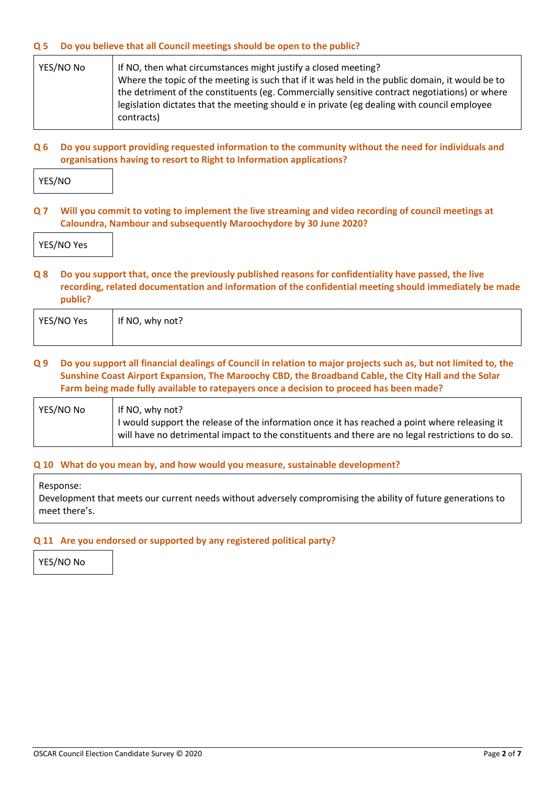#### **Q 5 Do you believe that all Council meetings should be open to the public?**

| YES/NO No | If NO, then what circumstances might justify a closed meeting?                                  |  |
|-----------|-------------------------------------------------------------------------------------------------|--|
|           | Where the topic of the meeting is such that if it was held in the public domain, it would be to |  |
|           | the detriment of the constituents (eg. Commercially sensitive contract negotiations) or where   |  |
|           | legislation dictates that the meeting should e in private (eg dealing with council employee     |  |
|           | contracts)                                                                                      |  |
|           |                                                                                                 |  |

#### **Q 6 Do you support providing requested information to the community without the need for individuals and organisations having to resort to Right to Information applications?**

YES/NO

**Q 7 Will you commit to voting to implement the live streaming and video recording of council meetings at Caloundra, Nambour and subsequently Maroochydore by 30 June 2020?**

YES/NO Yes

#### **Q 8 Do you support that, once the previously published reasons for confidentiality have passed, the live recording, related documentation and information of the confidential meeting should immediately be made public?**

| YES/NO Yes | If NO, why not? |
|------------|-----------------|
|            |                 |

#### **Q 9 Do you support all financial dealings of Council in relation to major projects such as, but not limited to, the Sunshine Coast Airport Expansion, The Maroochy CBD, the Broadband Cable, the City Hall and the Solar Farm being made fully available to ratepayers once a decision to proceed has been made?**

| YES/NO No | If NO, why not?                                                                                   |
|-----------|---------------------------------------------------------------------------------------------------|
|           | I would support the release of the information once it has reached a point where releasing it     |
|           | will have no detrimental impact to the constituents and there are no legal restrictions to do so. |

#### **Q 10 What do you mean by, and how would you measure, sustainable development?**

Response:

Development that meets our current needs without adversely compromising the ability of future generations to meet there's.

#### **Q 11 Are you endorsed or supported by any registered political party?**

YES/NO No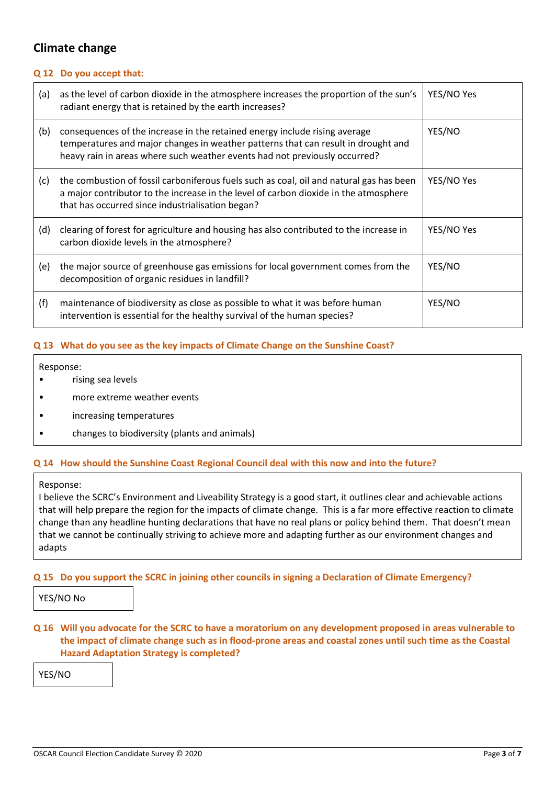## **Climate change**

#### **Q 12 Do you accept that:**

| (a) | as the level of carbon dioxide in the atmosphere increases the proportion of the sun's<br>radiant energy that is retained by the earth increases?                                                                                             | YES/NO Yes |
|-----|-----------------------------------------------------------------------------------------------------------------------------------------------------------------------------------------------------------------------------------------------|------------|
| (b) | consequences of the increase in the retained energy include rising average<br>temperatures and major changes in weather patterns that can result in drought and<br>heavy rain in areas where such weather events had not previously occurred? | YES/NO     |
| (c) | the combustion of fossil carboniferous fuels such as coal, oil and natural gas has been<br>a major contributor to the increase in the level of carbon dioxide in the atmosphere<br>that has occurred since industrialisation began?           | YES/NO Yes |
| (d) | clearing of forest for agriculture and housing has also contributed to the increase in<br>carbon dioxide levels in the atmosphere?                                                                                                            | YES/NO Yes |
| (e) | the major source of greenhouse gas emissions for local government comes from the<br>decomposition of organic residues in landfill?                                                                                                            | YES/NO     |
| (f) | maintenance of biodiversity as close as possible to what it was before human<br>intervention is essential for the healthy survival of the human species?                                                                                      | YES/NO     |

#### **Q 13 What do you see as the key impacts of Climate Change on the Sunshine Coast?**

Response:

- rising sea levels
- more extreme weather events
- increasing temperatures
- changes to biodiversity (plants and animals)

#### **Q 14 How should the Sunshine Coast Regional Council deal with this now and into the future?**

Response:

I believe the SCRC's Environment and Liveability Strategy is a good start, it outlines clear and achievable actions that will help prepare the region for the impacts of climate change. This is a far more effective reaction to climate change than any headline hunting declarations that have no real plans or policy behind them. That doesn't mean that we cannot be continually striving to achieve more and adapting further as our environment changes and adapts

#### **Q 15 Do you support the SCRC in joining other councils in signing a Declaration of Climate Emergency?**

YES/NO No

**Q 16 Will you advocate for the SCRC to have a moratorium on any development proposed in areas vulnerable to the impact of climate change such as in flood-prone areas and coastal zones until such time as the Coastal Hazard Adaptation Strategy is completed?**

YES/NO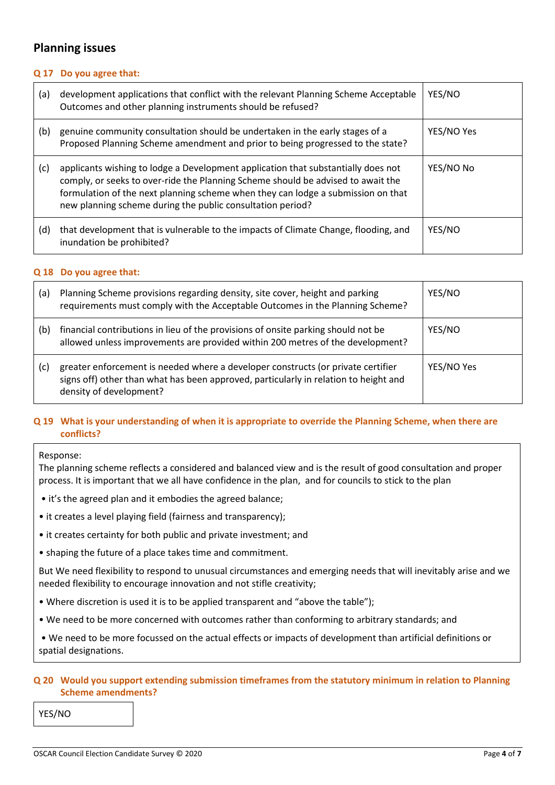## **Planning issues**

#### **Q 17 Do you agree that:**

| (a) | development applications that conflict with the relevant Planning Scheme Acceptable<br>Outcomes and other planning instruments should be refused?                                                                                                                                                                       | YES/NO     |
|-----|-------------------------------------------------------------------------------------------------------------------------------------------------------------------------------------------------------------------------------------------------------------------------------------------------------------------------|------------|
| (b) | genuine community consultation should be undertaken in the early stages of a<br>Proposed Planning Scheme amendment and prior to being progressed to the state?                                                                                                                                                          | YES/NO Yes |
| (c) | applicants wishing to lodge a Development application that substantially does not<br>comply, or seeks to over-ride the Planning Scheme should be advised to await the<br>formulation of the next planning scheme when they can lodge a submission on that<br>new planning scheme during the public consultation period? | YES/NO No  |
| (d) | that development that is vulnerable to the impacts of Climate Change, flooding, and<br>inundation be prohibited?                                                                                                                                                                                                        | YES/NO     |

#### **Q 18 Do you agree that:**

| (a) | Planning Scheme provisions regarding density, site cover, height and parking<br>requirements must comply with the Acceptable Outcomes in the Planning Scheme?                                       | YES/NO     |
|-----|-----------------------------------------------------------------------------------------------------------------------------------------------------------------------------------------------------|------------|
| (b) | financial contributions in lieu of the provisions of onsite parking should not be<br>allowed unless improvements are provided within 200 metres of the development?                                 | YES/NO     |
| (c) | greater enforcement is needed where a developer constructs (or private certifier<br>signs off) other than what has been approved, particularly in relation to height and<br>density of development? | YES/NO Yes |

### **Q 19 What is your understanding of when it is appropriate to override the Planning Scheme, when there are conflicts?**

#### Response:

The planning scheme reflects a considered and balanced view and is the result of good consultation and proper process. It is important that we all have confidence in the plan, and for councils to stick to the plan

- it's the agreed plan and it embodies the agreed balance;
- it creates a level playing field (fairness and transparency);
- it creates certainty for both public and private investment; and
- shaping the future of a place takes time and commitment.

But We need flexibility to respond to unusual circumstances and emerging needs that will inevitably arise and we needed flexibility to encourage innovation and not stifle creativity;

- Where discretion is used it is to be applied transparent and "above the table");
- We need to be more concerned with outcomes rather than conforming to arbitrary standards; and

• We need to be more focussed on the actual effects or impacts of development than artificial definitions or spatial designations.

#### **Q 20 Would you support extending submission timeframes from the statutory minimum in relation to Planning Scheme amendments?**

YES/NO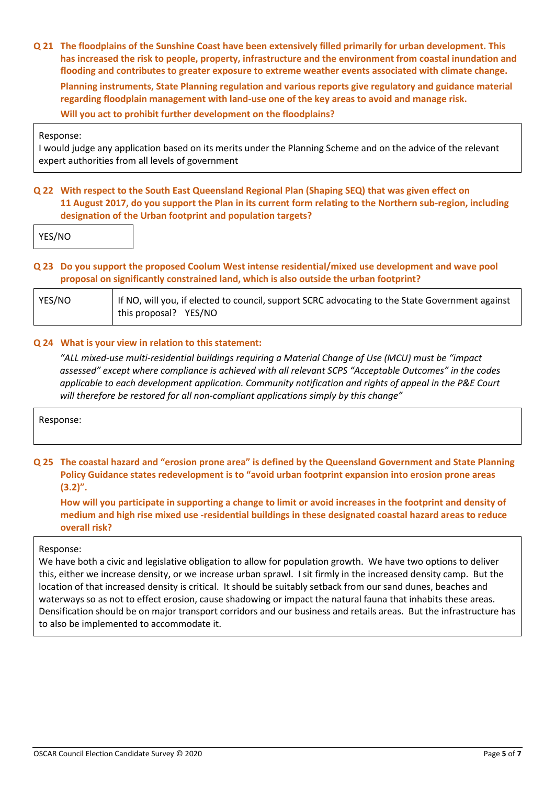**Q 21 The floodplains of the Sunshine Coast have been extensively filled primarily for urban development. This has increased the risk to people, property, infrastructure and the environment from coastal inundation and flooding and contributes to greater exposure to extreme weather events associated with climate change. Planning instruments, State Planning regulation and various reports give regulatory and guidance material regarding floodplain management with land-use one of the key areas to avoid and manage risk. Will you act to prohibit further development on the floodplains?**

#### Response:

I would judge any application based on its merits under the Planning Scheme and on the advice of the relevant expert authorities from all levels of government

#### **Q 22 With respect to the South East Queensland Regional Plan (Shaping SEQ) that was given effect on 11 August 2017, do you support the Plan in its current form relating to the Northern sub-region, including designation of the Urban footprint and population targets?**

YES/NO

#### **Q 23 Do you support the proposed Coolum West intense residential/mixed use development and wave pool proposal on significantly constrained land, which is also outside the urban footprint?**

| YES/NO | If NO, will you, if elected to council, support SCRC advocating to the State Government against |  |
|--------|-------------------------------------------------------------------------------------------------|--|
|        | this proposal? YES/NO                                                                           |  |

#### **Q 24 What is your view in relation to this statement:**

*"ALL mixed-use multi-residential buildings requiring a Material Change of Use (MCU) must be "impact assessed" except where compliance is achieved with all relevant SCPS "Acceptable Outcomes" in the codes applicable to each development application. Community notification and rights of appeal in the P&E Court will therefore be restored for all non-compliant applications simply by this change"*

Response:

**Q 25 The coastal hazard and "erosion prone area" is defined by the Queensland Government and State Planning Policy Guidance states redevelopment is to "avoid urban footprint expansion into erosion prone areas (3.2)".**

**How will you participate in supporting a change to limit or avoid increases in the footprint and density of medium and high rise mixed use -residential buildings in these designated coastal hazard areas to reduce overall risk?**

#### Response:

We have both a civic and legislative obligation to allow for population growth. We have two options to deliver this, either we increase density, or we increase urban sprawl. I sit firmly in the increased density camp. But the location of that increased density is critical. It should be suitably setback from our sand dunes, beaches and waterways so as not to effect erosion, cause shadowing or impact the natural fauna that inhabits these areas. Densification should be on major transport corridors and our business and retails areas. But the infrastructure has to also be implemented to accommodate it.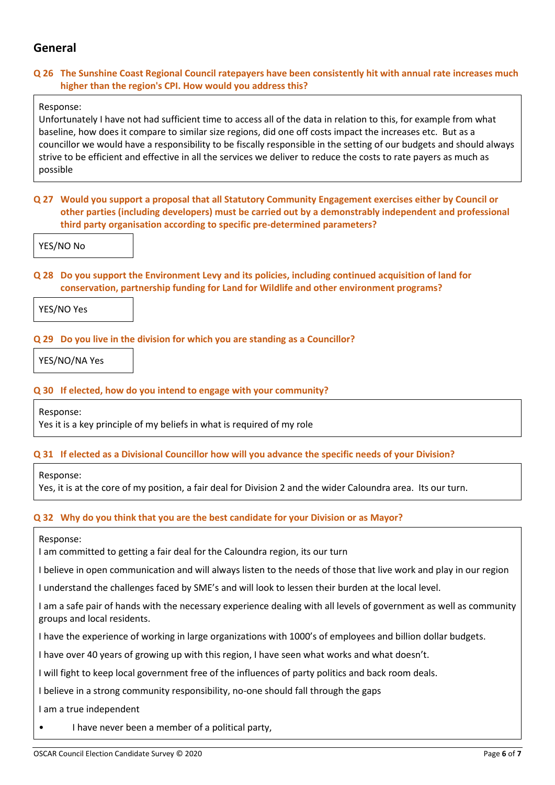## **General**

#### **Q 26 The Sunshine Coast Regional Council ratepayers have been consistently hit with annual rate increases much higher than the region's CPI. How would you address this?**

#### Response:

Unfortunately I have not had sufficient time to access all of the data in relation to this, for example from what baseline, how does it compare to similar size regions, did one off costs impact the increases etc. But as a councillor we would have a responsibility to be fiscally responsible in the setting of our budgets and should always strive to be efficient and effective in all the services we deliver to reduce the costs to rate payers as much as possible

**Q 27 Would you support a proposal that all Statutory Community Engagement exercises either by Council or other parties (including developers) must be carried out by a demonstrably independent and professional third party organisation according to specific pre-determined parameters?**

YES/NO No

**Q 28 Do you support the Environment Levy and its policies, including continued acquisition of land for conservation, partnership funding for Land for Wildlife and other environment programs?**

YES/NO Yes

#### **Q 29 Do you live in the division for which you are standing as a Councillor?**

YES/NO/NA Yes

#### **Q 30 If elected, how do you intend to engage with your community?**

Response:

Yes it is a key principle of my beliefs in what is required of my role

#### **Q 31 If elected as a Divisional Councillor how will you advance the specific needs of your Division?**

Response:

Yes, it is at the core of my position, a fair deal for Division 2 and the wider Caloundra area. Its our turn.

#### **Q 32 Why do you think that you are the best candidate for your Division or as Mayor?**

Response:

I am committed to getting a fair deal for the Caloundra region, its our turn

I believe in open communication and will always listen to the needs of those that live work and play in our region

I understand the challenges faced by SME's and will look to lessen their burden at the local level.

I am a safe pair of hands with the necessary experience dealing with all levels of government as well as community groups and local residents.

I have the experience of working in large organizations with 1000's of employees and billion dollar budgets.

I have over 40 years of growing up with this region, I have seen what works and what doesn't.

I will fight to keep local government free of the influences of party politics and back room deals.

I believe in a strong community responsibility, no-one should fall through the gaps

I am a true independent

• I have never been a member of a political party,